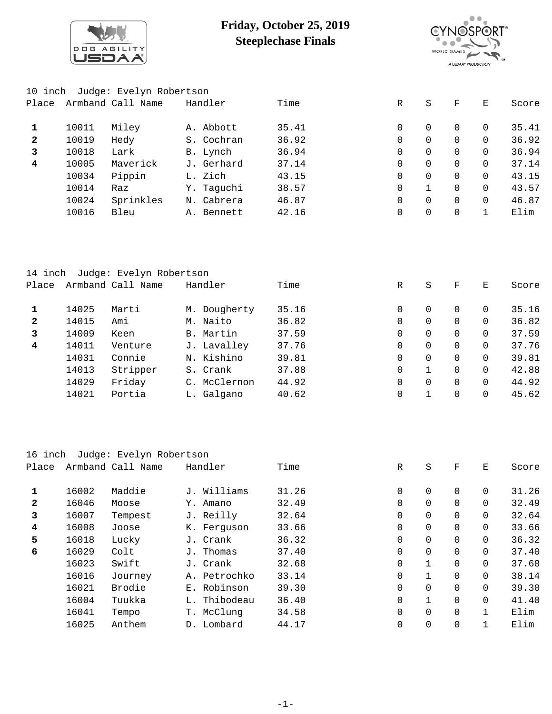

## **Friday, October 25, 2019 Steeplechase Finals**



| 10 inch |       | Judge: Evelyn Robertson |            |       |          |          |          |          |       |
|---------|-------|-------------------------|------------|-------|----------|----------|----------|----------|-------|
| Place   |       | Armband Call Name       | Handler    | Time  | R        | S        | F        | E.       | Score |
| 1       | 10011 | Miley                   | A. Abbott  | 35.41 | $\Omega$ | $\Omega$ | 0        | 0        | 35.41 |
| 2       | 10019 | Hedy                    | S. Cochran | 36.92 | 0        | $\Omega$ | 0        | 0        | 36.92 |
| 3       | 10018 | Lark                    | B. Lynch   | 36.94 | 0        | $\Omega$ | 0        | $\Omega$ | 36.94 |
| 4       | 10005 | Maverick                | J. Gerhard | 37.14 | $\Omega$ | $\Omega$ | 0        | $\Omega$ | 37.14 |
|         | 10034 | Pippin                  | L. Zich    | 43.15 | 0        | $\Omega$ | 0        | $\Omega$ | 43.15 |
|         | 10014 | Raz                     | Y. Taquchi | 38.57 | $\Omega$ |          | 0        | $\Omega$ | 43.57 |
|         | 10024 | Sprinkles               | N. Cabrera | 46.87 | $\Omega$ | $\Omega$ | $\Omega$ | $\Omega$ | 46.87 |
|         | 10016 | Bleu                    | A. Bennett | 42.16 | 0        | $\Omega$ | 0        |          | Elim  |

| 14 inch      |       | Judge: Evelyn Robertson |              |       |             |          |          |          |       |
|--------------|-------|-------------------------|--------------|-------|-------------|----------|----------|----------|-------|
| Place        |       | Armband Call Name       | Handler      | Time  | R           | S        | F        | Е        | Score |
| 1            | 14025 | Marti                   | M. Dougherty | 35.16 | 0           | 0        | $\Omega$ | $\Omega$ | 35.16 |
| $\mathbf{2}$ | 14015 | Ami                     | M. Naito     | 36.82 | 0           | $\Omega$ | $\Omega$ | $\Omega$ | 36.82 |
| 3            | 14009 | Keen                    | B. Martin    | 37.59 | 0           | $\Omega$ | $\Omega$ | $\Omega$ | 37.59 |
| 4            | 14011 | Venture                 | J. Lavalley  | 37.76 | $\Omega$    | $\Omega$ | $\Omega$ | $\Omega$ | 37.76 |
|              | 14031 | Connie                  | N. Kishino   | 39.81 | $\Omega$    | $\Omega$ | $\Omega$ | $\Omega$ | 39.81 |
|              | 14013 | Stripper                | S. Crank     | 37.88 | $\mathbf 0$ |          | $\Omega$ | $\Omega$ | 42.88 |
|              | 14029 | Friday                  | C. McClernon | 44.92 | $\Omega$    | $\Omega$ | 0        | $\Omega$ | 44.92 |
|              | 14021 | Portia                  | L. Galgano   | 40.62 | 0           |          | 0        | 0        | 45.62 |
|              |       |                         |              |       |             |          |          |          |       |

| 16 inch      |       | Judge: Evelyn Robertson |              |       |             |                |                |          |       |
|--------------|-------|-------------------------|--------------|-------|-------------|----------------|----------------|----------|-------|
| Place        |       | Armband Call Name       | Handler      | Time  | R           | S              | F              | E        | Score |
| 1            | 16002 | Maddie                  | J. Williams  | 31.26 | $\mathbf 0$ | 0              | $\Omega$       | $\Omega$ | 31.26 |
| $\mathbf{2}$ | 16046 | Moose                   | Amano<br>Υ.  | 32.49 | $\mathbf 0$ | $\overline{0}$ | $\Omega$       | $\Omega$ | 32.49 |
| 3            | 16007 | Tempest                 | J. Reilly    | 32.64 | 0           | $\overline{0}$ | $\Omega$       | $\Omega$ | 32.64 |
| 4            | 16008 | Joose                   | K. Ferguson  | 33.66 | $\mathbf 0$ | 0              | $\Omega$       | $\Omega$ | 33.66 |
| 5            | 16018 | Lucky                   | J. Crank     | 36.32 | 0           | $\overline{0}$ | $\mathbf 0$    | $\Omega$ | 36.32 |
| 6            | 16029 | Colt                    | J. Thomas    | 37.40 | $\mathbf 0$ | 0              | $\Omega$       | $\Omega$ | 37.40 |
|              | 16023 | Swift                   | J. Crank     | 32.68 | $\mathbf 0$ | $\mathbf{1}$   | $\mathbf 0$    | $\Omega$ | 37.68 |
|              | 16016 | Journey                 | A. Petrochko | 33.14 | $\mathbf 0$ | $\mathbf{1}$   | $\Omega$       | $\Omega$ | 38.14 |
|              | 16021 | Brodie                  | E. Robinson  | 39.30 | $\mathbf 0$ | $\overline{0}$ | $\mathbf 0$    | $\Omega$ | 39.30 |
|              | 16004 | Tuukka                  | L. Thibodeau | 36.40 | $\mathbf 0$ | $\mathbf{1}$   | $\Omega$       | $\Omega$ | 41.40 |
|              | 16041 | Tempo                   | T. McClung   | 34.58 | $\mathbf 0$ | $\overline{0}$ | $\overline{0}$ |          | Elim  |
|              | 16025 | Anthem                  | D. Lombard   | 44.17 | 0           | 0              | $\overline{0}$ |          | Elim  |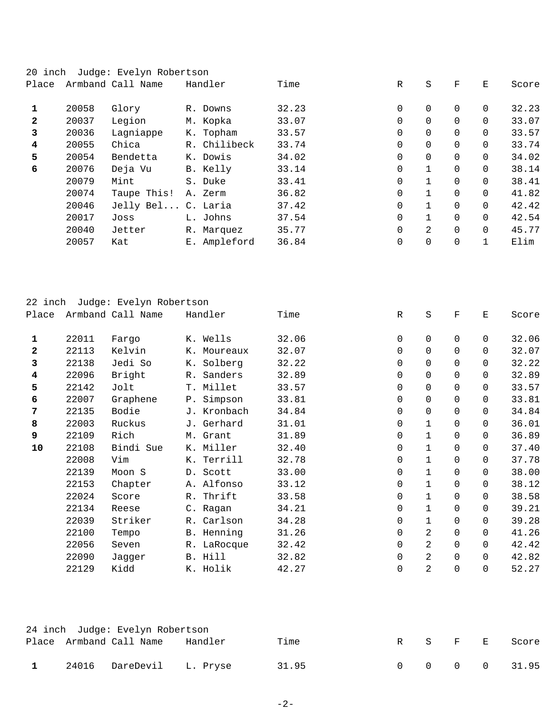| 20 inch                 |       | Judge: Evelyn Robertson |              |       |             |              |             |          |       |
|-------------------------|-------|-------------------------|--------------|-------|-------------|--------------|-------------|----------|-------|
| Place                   |       | Armband Call Name       | Handler      | Time  | R           | S            | F           | Е        | Score |
| 1                       | 20058 | Glory                   | R. Downs     | 32.23 | 0           | $\Omega$     | $\Omega$    | $\Omega$ | 32.23 |
| $\mathbf{2}$            | 20037 | Legion                  | M. Kopka     | 33.07 | 0           | 0            | $\Omega$    | $\Omega$ | 33.07 |
| 3                       | 20036 | Lagniappe               | K. Topham    | 33.57 | $\mathbf 0$ | 0            | $\Omega$    | $\Omega$ | 33.57 |
| $\overline{\mathbf{4}}$ | 20055 | Chica                   | R. Chilibeck | 33.74 | $\mathbf 0$ | 0            | $\Omega$    | $\Omega$ | 33.74 |
| 5                       | 20054 | Bendetta                | K. Dowis     | 34.02 | $\mathbf 0$ | 0            | $\Omega$    | $\Omega$ | 34.02 |
| 6                       | 20076 | Deja Vu                 | B. Kelly     | 33.14 | $\Omega$    | $\mathbf{1}$ | $\Omega$    | $\Omega$ | 38.14 |
|                         | 20079 | Mint                    | S. Duke      | 33.41 | $\mathbf 0$ |              | $\Omega$    | $\Omega$ | 38.41 |
|                         | 20074 | Taupe This!             | A. Zerm      | 36.82 | $\Omega$    |              | $\Omega$    | $\Omega$ | 41.82 |
|                         | 20046 | Jelly Bel C. Laria      |              | 37.42 | $\mathbf 0$ |              | $\Omega$    | $\Omega$ | 42.42 |
|                         | 20017 | Joss                    | L. Johns     | 37.54 | $\mathbf 0$ | 1            | $\Omega$    | $\Omega$ | 42.54 |
|                         | 20040 | Jetter                  | R. Marquez   | 35.77 | $\mathbf 0$ | 2            | $\Omega$    | $\Omega$ | 45.77 |
|                         | 20057 | Kat                     | E. Ampleford | 36.84 | $\mathbf 0$ | 0            | $\mathbf 0$ |          | Elim  |

| 22<br>inch   |       | Judge: Evelyn Robertson |             |       |              |                |             |          |       |
|--------------|-------|-------------------------|-------------|-------|--------------|----------------|-------------|----------|-------|
| Place        |       | Armband Call Name       | Handler     | Time  | $\mathbb{R}$ | $\rm S$        | $\mathbf F$ | Ε        | Score |
| 1            | 22011 | Fargo                   | K. Wells    | 32.06 | 0            | 0              | $\mathbf 0$ | 0        | 32.06 |
| $\mathbf{2}$ | 22113 | Kelvin                  | K. Moureaux | 32.07 | $\mathbf 0$  | $\overline{0}$ | $\Omega$    | $\Omega$ | 32.07 |
| 3            | 22138 | Jedi So                 | K. Solberg  | 32.22 | $\mathbf 0$  | $\overline{0}$ | 0           | $\Omega$ | 32.22 |
| 4            | 22096 | Bright                  | R. Sanders  | 32.89 | $\mathbf 0$  | $\overline{0}$ | 0           | 0        | 32.89 |
| 5            | 22142 | Jolt                    | T. Millet   | 33.57 | $\mathbf 0$  | $\overline{0}$ | 0           | 0        | 33.57 |
| 6            | 22007 | Graphene                | P. Simpson  | 33.81 | $\mathbf 0$  | $\overline{0}$ | $\Omega$    | $\Omega$ | 33.81 |
| 7            | 22135 | Bodie                   | J. Kronbach | 34.84 | $\mathbf 0$  | $\overline{0}$ | 0           | 0        | 34.84 |
| 8            | 22003 | Ruckus                  | J. Gerhard  | 31.01 | $\mathbf 0$  | 1              | 0           | 0        | 36.01 |
| 9            | 22109 | Rich                    | M. Grant    | 31.89 | $\mathbf 0$  | $\mathbf 1$    | $\Omega$    | $\Omega$ | 36.89 |
| 10           | 22108 | Bindi Sue               | K. Miller   | 32.40 | $\mathbf 0$  | $\mathbf 1$    | $\Omega$    | 0        | 37.40 |
|              | 22008 | Vim                     | K. Terrill  | 32.78 | $\mathbf 0$  | $\mathbf 1$    | 0           | $\Omega$ | 37.78 |
|              | 22139 | Moon S                  | D. Scott    | 33.00 | $\Omega$     | 1              | $\Omega$    | $\Omega$ | 38.00 |
|              | 22153 | Chapter                 | A. Alfonso  | 33.12 | 0            | 1              | $\Omega$    | $\Omega$ | 38.12 |
|              | 22024 | Score                   | R. Thrift   | 33.58 | 0            | $\mathbf 1$    | 0           | 0        | 38.58 |
|              | 22134 | Reese                   | C. Ragan    | 34.21 | $\mathbf 0$  | $\mathbf 1$    | $\Omega$    | $\Omega$ | 39.21 |
|              | 22039 | Striker                 | R. Carlson  | 34.28 | 0            | 1              | $\Omega$    | $\Omega$ | 39.28 |
|              | 22100 | Tempo                   | B. Henning  | 31.26 | $\mathbf 0$  | 2              | 0           | 0        | 41.26 |
|              | 22056 | Seven                   | R. LaRocque | 32.42 | $\Omega$     | 2              | $\Omega$    | $\Omega$ | 42.42 |
|              | 22090 | Jagger                  | B. Hill     | 32.82 | 0            | $\overline{c}$ | $\Omega$    | $\Omega$ | 42.82 |
|              | 22129 | Kidd                    | K. Holik    | 42.27 | $\mathbf 0$  | $\overline{2}$ | 0           | 0        | 52.27 |

|  | 24 inch Judge: Evelyn Robertson |         |       |  |  |               |
|--|---------------------------------|---------|-------|--|--|---------------|
|  | Place Armband Call Name         | Handler | Time  |  |  | R S F E Score |
|  | 24016 DareDevil L.Pryse         |         | 31.95 |  |  | 0 0 0 0 31.95 |